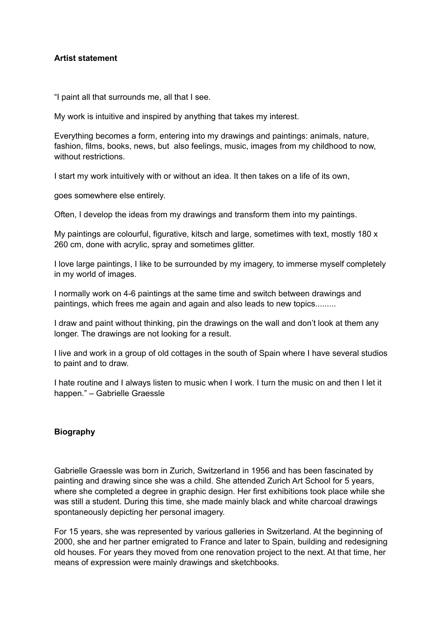## **Artist statement**

"I paint all that surrounds me, all that I see.

My work is intuitive and inspired by anything that takes my interest.

Everything becomes a form, entering into my drawings and paintings: animals, nature, fashion, films, books, news, but also feelings, music, images from my childhood to now, without restrictions.

I start my work intuitively with or without an idea. It then takes on a life of its own,

goes somewhere else entirely.

Often, I develop the ideas from my drawings and transform them into my paintings.

My paintings are colourful, figurative, kitsch and large, sometimes with text, mostly 180 x 260 cm, done with acrylic, spray and sometimes glitter.

I love large paintings, I like to be surrounded by my imagery, to immerse myself completely in my world of images.

I normally work on 4-6 paintings at the same time and switch between drawings and paintings, which frees me again and again and also leads to new topics.........

I draw and paint without thinking, pin the drawings on the wall and don't look at them any longer. The drawings are not looking for a result.

I live and work in a group of old cottages in the south of Spain where I have several studios to paint and to draw.

I hate routine and I always listen to music when I work. I turn the music on and then I let it happen." – Gabrielle Graessle

## **Biography**

Gabrielle Graessle was born in Zurich, Switzerland in 1956 and has been fascinated by painting and drawing since she was a child. She attended Zurich Art School for 5 years, where she completed a degree in graphic design. Her first exhibitions took place while she was still a student. During this time, she made mainly black and white charcoal drawings spontaneously depicting her personal imagery.

For 15 years, she was represented by various galleries in Switzerland. At the beginning of 2000, she and her partner emigrated to France and later to Spain, building and redesigning old houses. For years they moved from one renovation project to the next. At that time, her means of expression were mainly drawings and sketchbooks.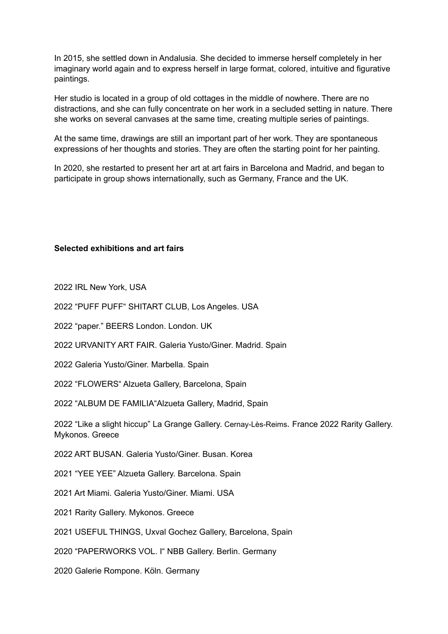In 2015, she settled down in Andalusia. She decided to immerse herself completely in her imaginary world again and to express herself in large format, colored, intuitive and figurative paintings.

Her studio is located in a group of old cottages in the middle of nowhere. There are no distractions, and she can fully concentrate on her work in a secluded setting in nature. There she works on several canvases at the same time, creating multiple series of paintings.

At the same time, drawings are still an important part of her work. They are spontaneous expressions of her thoughts and stories. They are often the starting point for her painting.

In 2020, she restarted to present her art at art fairs in Barcelona and Madrid, and began to participate in group shows internationally, such as Germany, France and the UK.

**Selected exhibitions and art fairs**

2022 IRL New York, USA

2022 "PUFF PUFF" SHITART CLUB, Los Angeles. USA

2022 "paper." BEERS London. London. UK

2022 URVANITY ART FAIR. Galeria Yusto/Giner. Madrid. Spain

2022 Galeria Yusto/Giner. Marbella. Spain

2022 "FLOWERS" Alzueta Gallery, Barcelona, Spain

2022 "ALBUM DE FAMILIA"Alzueta Gallery, Madrid, Spain

2022 "Like a slight hiccup" La Grange Gallery. Cernay-Lès-Reims. France 2022 Rarity Gallery. Mykonos. Greece

2022 ART BUSAN. Galeria Yusto/Giner. Busan. Korea

2021 "YEE YEE" Alzueta Gallery. Barcelona. Spain

2021 Art Miami. Galeria Yusto/Giner. Miami. USA

2021 Rarity Gallery. Mykonos. Greece

2021 USEFUL THINGS, Uxval Gochez Gallery, Barcelona, Spain

2020 "PAPERWORKS VOL. I" NBB Gallery. Berlin. Germany

2020 Galerie Rompone. Köln. Germany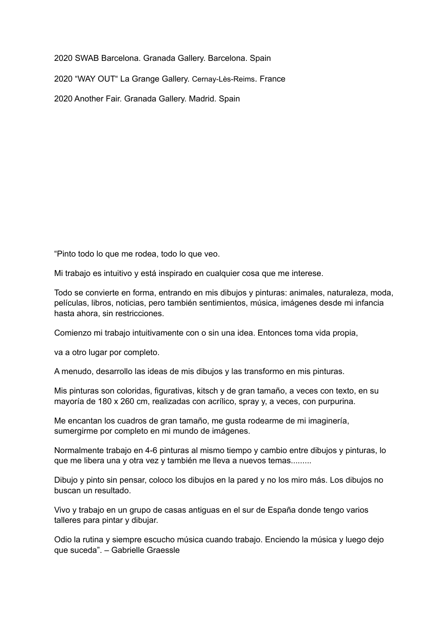2020 SWAB Barcelona. Granada Gallery. Barcelona. Spain

2020 "WAY OUT" La Grange Gallery. Cernay-Lès-Reims. France

2020 Another Fair. Granada Gallery. Madrid. Spain

"Pinto todo lo que me rodea, todo lo que veo.

Mi trabajo es intuitivo y está inspirado en cualquier cosa que me interese.

Todo se convierte en forma, entrando en mis dibujos y pinturas: animales, naturaleza, moda, películas, libros, noticias, pero también sentimientos, música, imágenes desde mi infancia hasta ahora, sin restricciones.

Comienzo mi trabajo intuitivamente con o sin una idea. Entonces toma vida propia,

va a otro lugar por completo.

A menudo, desarrollo las ideas de mis dibujos y las transformo en mis pinturas.

Mis pinturas son coloridas, figurativas, kitsch y de gran tamaño, a veces con texto, en su mayoría de 180 x 260 cm, realizadas con acrílico, spray y, a veces, con purpurina.

Me encantan los cuadros de gran tamaño, me gusta rodearme de mi imaginería, sumergirme por completo en mi mundo de imágenes.

Normalmente trabajo en 4-6 pinturas al mismo tiempo y cambio entre dibujos y pinturas, lo que me libera una y otra vez y también me lleva a nuevos temas.........

Dibujo y pinto sin pensar, coloco los dibujos en la pared y no los miro más. Los dibujos no buscan un resultado.

Vivo y trabajo en un grupo de casas antiguas en el sur de España donde tengo varios talleres para pintar y dibujar.

Odio la rutina y siempre escucho música cuando trabajo. Enciendo la música y luego dejo que suceda". – Gabrielle Graessle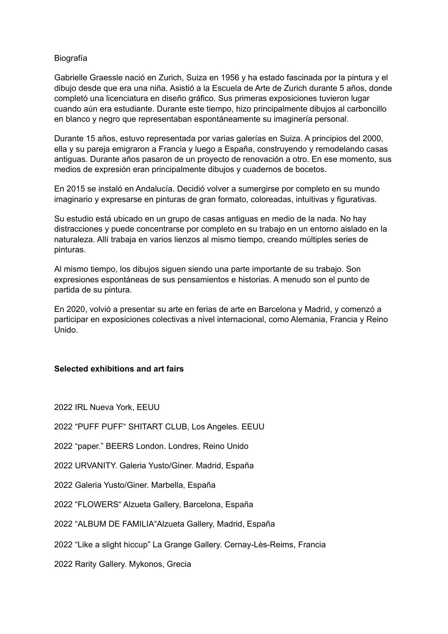## Biografía

Gabrielle Graessle nació en Zurich, Suiza en 1956 y ha estado fascinada por la pintura y el dibujo desde que era una niña. Asistió a la Escuela de Arte de Zurich durante 5 años, donde completó una licenciatura en diseño gráfico. Sus primeras exposiciones tuvieron lugar cuando aún era estudiante. Durante este tiempo, hizo principalmente dibujos al carboncillo en blanco y negro que representaban espontáneamente su imaginería personal.

Durante 15 años, estuvo representada por varias galerías en Suiza. A principios del 2000, ella y su pareja emigraron a Francia y luego a España, construyendo y remodelando casas antiguas. Durante años pasaron de un proyecto de renovación a otro. En ese momento, sus medios de expresión eran principalmente dibujos y cuadernos de bocetos.

En 2015 se instaló en Andalucía. Decidió volver a sumergirse por completo en su mundo imaginario y expresarse en pinturas de gran formato, coloreadas, intuitivas y figurativas.

Su estudio está ubicado en un grupo de casas antiguas en medio de la nada. No hay distracciones y puede concentrarse por completo en su trabajo en un entorno aislado en la naturaleza. Allí trabaja en varios lienzos al mismo tiempo, creando múltiples series de pinturas.

Al mismo tiempo, los dibujos siguen siendo una parte importante de su trabajo. Son expresiones espontáneas de sus pensamientos e historias. A menudo son el punto de partida de su pintura.

En 2020, volvió a presentar su arte en ferias de arte en Barcelona y Madrid, y comenzó a participar en exposiciones colectivas a nivel internacional, como Alemania, Francia y Reino Unido.

## **Selected exhibitions and art fairs**

2022 IRL Nueva York, EEUU

2022 "PUFF PUFF" SHITART CLUB, Los Angeles. EEUU

2022 "paper." BEERS London. Londres, Reino Unido

2022 URVANITY. Galeria Yusto/Giner. Madrid, España

2022 Galeria Yusto/Giner. Marbella, España

2022 "FLOWERS" Alzueta Gallery, Barcelona, España

2022 "ALBUM DE FAMILIA"Alzueta Gallery, Madrid, España

2022 "Like a slight hiccup" La Grange Gallery. Cernay-Lès-Reims, Francia

2022 Rarity Gallery. Mykonos, Grecia